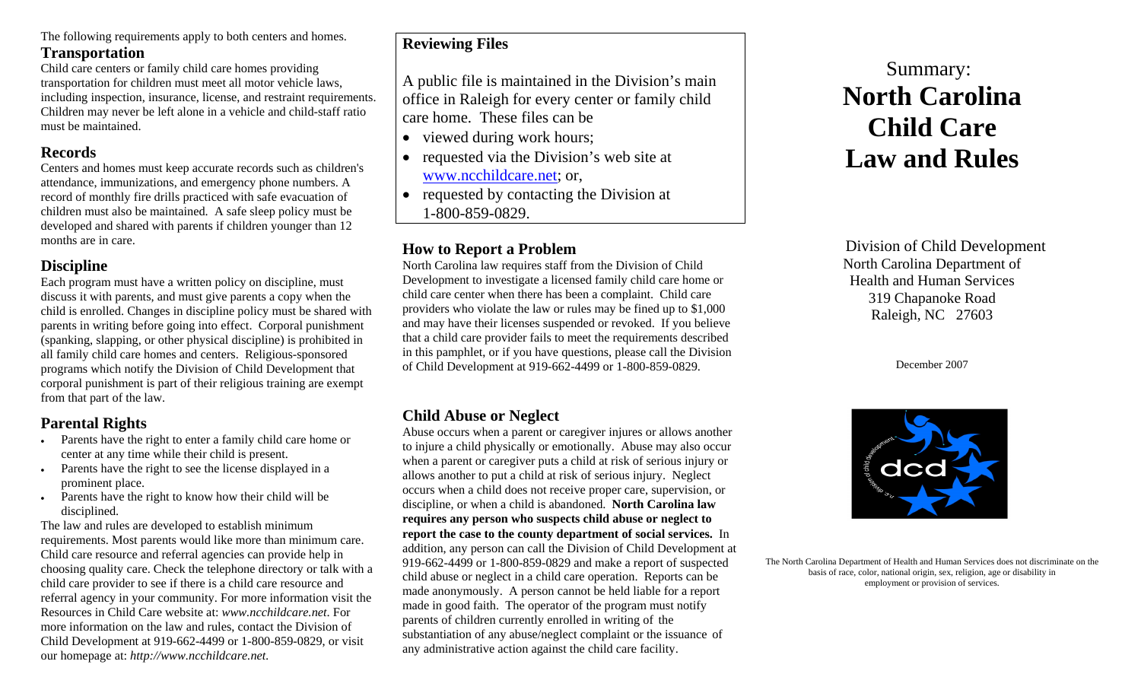The following requirements apply to both centers and homes. **Transportation** 

Child care centers or family child care homes providing transportation for children must meet all motor vehicle laws, including inspection, insurance, license, and restraint requirements. Children may never be left alone in a vehicle and child-staff ratio must be maintained.

#### **Records**

Centers and homes must keep accurate records such as children's attendance, immunizations, and emergency phone numbers. A record of monthly fire drills practiced with safe evacuation of children must also be maintained. A safe sleep policy must be developed and shared with parents if children younger than 12 months are in care.

## **Discipline**

Each program must have a written policy on discipline, must discuss it with parents, and must give parents a copy when the child is enrolled. Changes in discipline policy must be shared with parents in writing before going into effect. Corporal punishment (spanking, slapping, or other physical discipline) is prohibited in all family child care homes and centers. Religious-sponsored programs which notify the Division of Child Development that corporal punishment is part of their religious training are exempt from that part of the law.

# **Parental Rights**

- Parents have the right to enter a family child care home or center at any time while their child is present.
- Parents have the right to see the license displayed in a prominent place.
- Parents have the right to know how their child will be disciplined.

The law and rules are developed to establish minimum requirements. Most parents would like more than minimum care. Child care resource and referral agencies can provide help in choosing quality care. Check the telephone directory or talk with a child care provider to see if there is a child care resource and referral agency in your community. For more information visit the Resources in Child Care website at: *www.ncchildcare.net*. For more information on the law and rules, contact the Division of Child Development at 919-662-4499 or 1-800-859-0829, or visit our homepage at: *http://www.ncchildcare.net.*

# **Reviewing Files**

A public file is maintained in the Division's main office in Raleigh for every center or family child care home. These files can be

- viewed during work hours;
- • requested via the Division's web site at [www.ncchildcare.net](http://www.ncchildcare.net/); or,
- requested by contacting the Division at 1-800-859-0829.

## **How to Report a Problem**

North Carolina law requires staff from the Division of Child Development to investigate a licensed family child care home or child care center when there has been a complaint. Child care providers who violate the law or rules may be fined up to \$1,000 and may have their licenses suspended or revoked. If you believe that a child care provider fails to meet the requirements described in this pamphlet, or if you have questions, please call the Division of Child Development at 919-662-4499 or 1-800-859-0829.

## **Child Abuse or Neglect**

Abuse occurs when a parent or caregiver injures or allows another to injure a child physically or emotionally. Abuse may also occur when a parent or caregiver puts a child at risk of serious injury or allows another to put a child at risk of serious injury. Neglect occurs when a child does not receive proper care, supervision, or discipline, or when a child is abandoned. **North Carolina law requires any person who suspects child abuse or neglect to report the case to the county department of social services.** In addition, any person can call the Division of Child Development at 919-662-4499 or 1-800-859-0829 and make a report of suspected child abuse or neglect in a child care operation. Reports can be made anonymously. A person cannot be held liable for a report made in good faith. The operator of the program must notify parents of children currently enrolled in writing of the substantiation of any abuse/neglect complaint or the issuance of any administrative action against the child care facility.

# Summary: **North Carolina Child Care Law and Rules**

Division of Child Development North Carolina Department of Health and Human Services 319 Chapanoke Road Raleigh, NC 27603

December 2007



The North Carolina Department of Health and Human Services does not discriminate on the basis of race, color, national origin, sex, religion, age or disability in employment or provision of services.